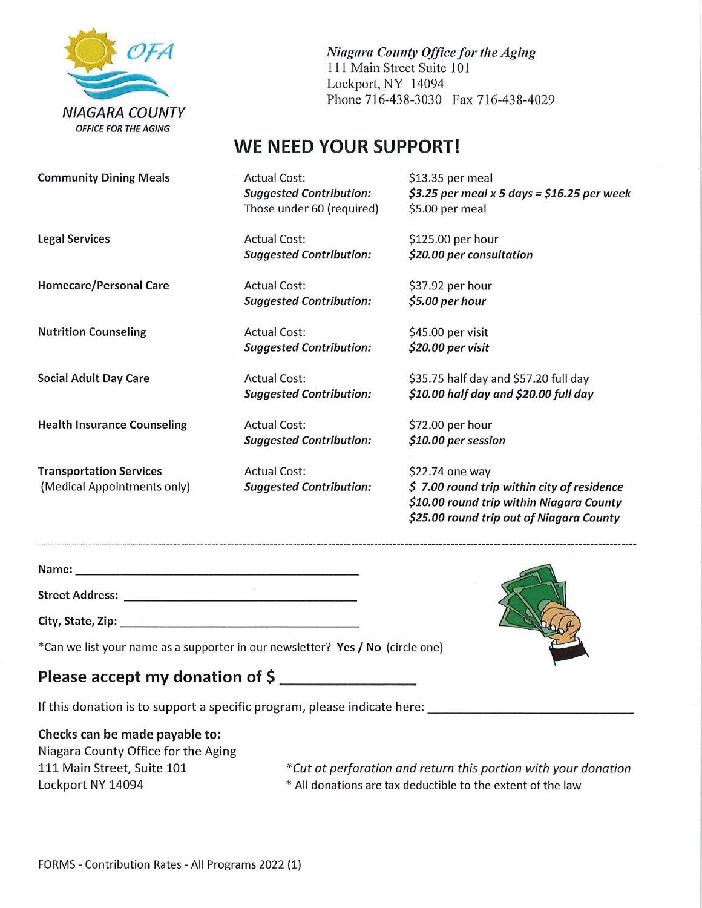

Niagara County Office for the Aging Ill Main Street Suite 101 Lockport, NY 14094 Phone 716-438-3030 Fax 716-438-4029

## WE NEED YOUR SUPPORT!

Community Dining Meals

Legal Services

Homecare/Personal Care

Nutrition Counseling

Social Adult Day Care

Health Insurance Counseling

Transportation Services (Medicai Appointments only) Actual Cost: Suggested Contribution: Those under 60 (required)

Actual Cost: Suggested Contribution:

Actual Cost: Suggested Contribution:

Actual Cost: Suggested Contribution:

Actual Cost: Suggested Contribution:

Actual Cost: Suggested Contribution:

Actual Cost: Suggested Contribution: \$13.35 per meal  $$3.25$  per meal x 5 days = \$16.25 per week \$5.00 per meal

\$125.00 per hour \$20.00 per consultation

\$37.92 per hour \$5.00 per hour

\$45.00 per visit \$20.00 per visit

\$35.75 half day and \$57.20 full day \$10.00 half day and \$20.00 full day

\$72.00 per hour \$10.00 per session

\$22.74 one way \$ 7.00 round trip within city of residence \$10.00 round trip within Niagara County \$25.00 round trip out of Niagara County

Name: 

Street Address:

City/ State, Zip:

\*Can we list your name as a supporter in our newsletter? Yes / No (circle one)

## Please accept my donation of \$

If this donation is to support a specific program, please indicate here:

Checks can be made payable to:

Niagara County Office for the Aging 111 Main Street, Suite 101 Lockport NY 14094

\*Cut at perforation and return this portion with your donation \* All donations are tax deductible to the extent of the law